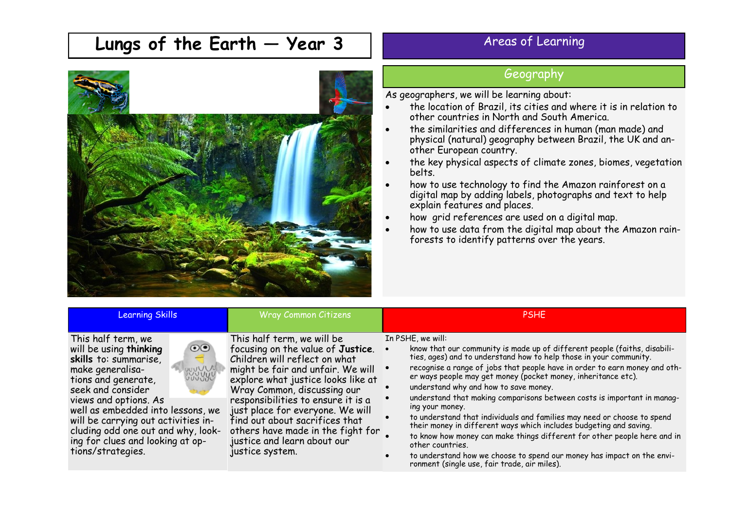## **Lungs of the Earth — Year 3**



## Areas of Learning

## Geography

As geographers, we will be learning about:

- the location of Brazil, its cities and where it is in relation to other countries in North and South America.
- the similarities and differences in human (man made) and physical (natural) geography between Brazil, the UK and another European country.
- the key physical aspects of climate zones, biomes, vegetation belts.
- how to use technology to find the Amazon rainforest on a digital map by adding labels, photographs and text to help explain features and places.
- how grid references are used on a digital map.
- how to use data from the digital map about the Amazon rainforests to identify patterns over the years.

| <b>Learning Skills</b>                                                                                                                                                                                                                                                                                                                                                      | <b>Wray Common Citizens</b>                                                                                                                                                                                                                                                                                                                                                                                   | <b>PSHE</b>                                                                                                                                                                                                                                                                                                                                                                                                                                                                                                                                                                                                                                                                                                                                                                                                            |
|-----------------------------------------------------------------------------------------------------------------------------------------------------------------------------------------------------------------------------------------------------------------------------------------------------------------------------------------------------------------------------|---------------------------------------------------------------------------------------------------------------------------------------------------------------------------------------------------------------------------------------------------------------------------------------------------------------------------------------------------------------------------------------------------------------|------------------------------------------------------------------------------------------------------------------------------------------------------------------------------------------------------------------------------------------------------------------------------------------------------------------------------------------------------------------------------------------------------------------------------------------------------------------------------------------------------------------------------------------------------------------------------------------------------------------------------------------------------------------------------------------------------------------------------------------------------------------------------------------------------------------------|
| This half term, we<br>$\odot$<br>will be using thinking<br>skills to: summarise,<br>↽<br><b>BOULDED</b><br>make generalisa-<br>tions and generate,<br>seek and consider<br>views and options. As<br>well as embedded into lessons, we<br>will be carrying out activities in-<br>cluding odd one out and why, look-<br>ing for clues and looking at op-<br>tions/strategies. | This half term, we will be<br>focusing on the value of Justice.<br>Children will reflect on what<br>might be fair and unfair. We will<br>explore what justice looks like at<br>Wray Common, discussing our<br>responsibilities to ensure it is a<br>just place for everyone. We will<br>find out about sacrifices that<br>others have made in the fight for<br>justice and learn about our<br>justice system. | In PSHE, we will:<br>know that our community is made up of different people (faiths, disabilities, ages) and to understand how to help those in your community.<br>recognise a range of jobs that people have in order to earn money and other ways people may get money (pocket money, inheritance etc).<br>understand why and how to save money.<br>understand that making comparisons between costs is important in manag-<br>ing your money.<br>to understand that individuals and families may need or choose to spend<br>their money in different ways which includes budgeting and saving.<br>to know how money can make things different for other people here and in<br>other countries.<br>to understand how we choose to spend our money has impact on the environment (single use, fair trade, air miles). |